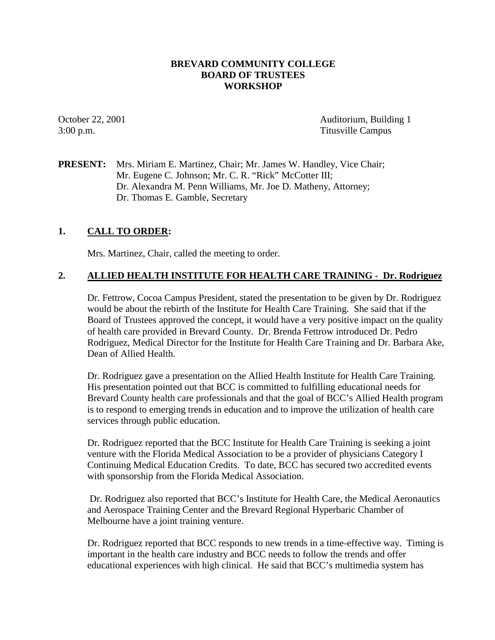## **BREVARD COMMUNITY COLLEGE BOARD OF TRUSTEES WORKSHOP**

October 22, 2001 Auditorium, Building 1 3:00 p.m. Titusville Campus

**PRESENT:** Mrs. Miriam E. Martinez, Chair; Mr. James W. Handley, Vice Chair; Mr. Eugene C. Johnson; Mr. C. R. "Rick" McCotter III; Dr. Alexandra M. Penn Williams, Mr. Joe D. Matheny, Attorney; Dr. Thomas E. Gamble, Secretary

## **1. CALL TO ORDER:**

Mrs. Martinez, Chair, called the meeting to order.

## **2. ALLIED HEALTH INSTITUTE FOR HEALTH CARE TRAINING - Dr. Rodriguez**

Dr. Fettrow, Cocoa Campus President, stated the presentation to be given by Dr. Rodriguez would be about the rebirth of the Institute for Health Care Training. She said that if the Board of Trustees approved the concept, it would have a very positive impact on the quality of health care provided in Brevard County. Dr. Brenda Fettrow introduced Dr. Pedro Rodriguez, Medical Director for the Institute for Health Care Training and Dr. Barbara Ake, Dean of Allied Health.

Dr. Rodriguez gave a presentation on the Allied Health Institute for Health Care Training. His presentation pointed out that BCC is committed to fulfilling educational needs for Brevard County health care professionals and that the goal of BCC's Allied Health program is to respond to emerging trends in education and to improve the utilization of health care services through public education.

Dr. Rodriguez reported that the BCC Institute for Health Care Training is seeking a joint venture with the Florida Medical Association to be a provider of physicians Category I Continuing Medical Education Credits. To date, BCC has secured two accredited events with sponsorship from the Florida Medical Association.

 Dr. Rodriguez also reported that BCC's Institute for Health Care, the Medical Aeronautics and Aerospace Training Center and the Brevard Regional Hyperbaric Chamber of Melbourne have a joint training venture.

Dr. Rodriguez reported that BCC responds to new trends in a time-effective way. Timing is important in the health care industry and BCC needs to follow the trends and offer educational experiences with high clinical. He said that BCC's multimedia system has